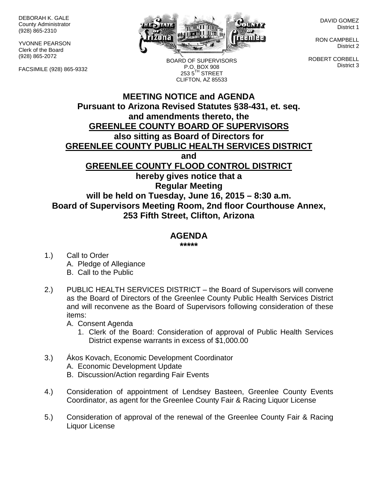DEBORAH K. GALE County Administrator (928) 865-2310

YVONNE PEARSON Clerk of the Board (928) 865-2072

FACSIMILE (928) 865-9332



BOARD OF SUPERVISORS P.O. BOX 908  $2535^{\text{TH}}$  STREET CLIFTON, AZ 85533

DAVID GOMEZ District 1

RON CAMPBELL District 2

ROBERT CORBELL District 3

## **MEETING NOTICE and AGENDA Pursuant to Arizona Revised Statutes §38-431, et. seq. and amendments thereto, the GREENLEE COUNTY BOARD OF SUPERVISORS also sitting as Board of Directors for GREENLEE COUNTY PUBLIC HEALTH SERVICES DISTRICT and GREENLEE COUNTY FLOOD CONTROL DISTRICT hereby gives notice that a Regular Meeting will be held on Tuesday, June 16, 2015 – 8:30 a.m. Board of Supervisors Meeting Room, 2nd floor Courthouse Annex, 253 Fifth Street, Clifton, Arizona**

## **AGENDA**

**\*\*\*\*\***

- 1.) Call to Order A. Pledge of Allegiance B. Call to the Public
- 2.) PUBLIC HEALTH SERVICES DISTRICT the Board of Supervisors will convene as the Board of Directors of the Greenlee County Public Health Services District and will reconvene as the Board of Supervisors following consideration of these items:

A. Consent Agenda

- 1. Clerk of the Board: Consideration of approval of Public Health Services District expense warrants in excess of \$1,000.00
- 3.) Ákos Kovach, Economic Development Coordinator A. Economic Development Update B. Discussion/Action regarding Fair Events
- 4.) Consideration of appointment of Lendsey Basteen, Greenlee County Events Coordinator, as agent for the Greenlee County Fair & Racing Liquor License
- 5.) Consideration of approval of the renewal of the Greenlee County Fair & Racing Liquor License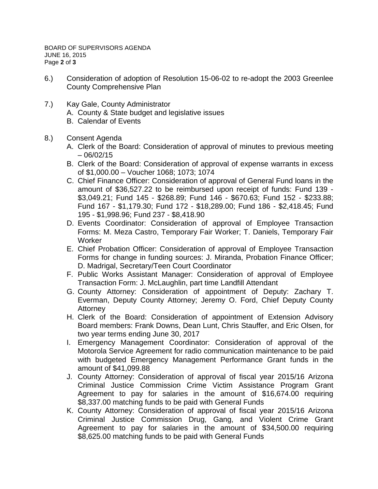- 6.) Consideration of adoption of Resolution 15-06-02 to re-adopt the 2003 Greenlee County Comprehensive Plan
- 7.) Kay Gale, County Administrator A. County & State budget and legislative issues
	- B. Calendar of Events
- 8.) Consent Agenda
	- A. Clerk of the Board: Consideration of approval of minutes to previous meeting  $-06/02/15$
	- B. Clerk of the Board: Consideration of approval of expense warrants in excess of \$1,000.00 – Voucher 1068; 1073; 1074
	- C. Chief Finance Officer: Consideration of approval of General Fund loans in the amount of \$36,527.22 to be reimbursed upon receipt of funds: Fund 139 - \$3,049.21; Fund 145 - \$268.89; Fund 146 - \$670.63; Fund 152 - \$233.88; Fund 167 - \$1,179.30; Fund 172 - \$18,289.00; Fund 186 - \$2,418.45; Fund 195 - \$1,998.96; Fund 237 - \$8,418.90
	- D. Events Coordinator: Consideration of approval of Employee Transaction Forms: M. Meza Castro, Temporary Fair Worker; T. Daniels, Temporary Fair **Worker**
	- E. Chief Probation Officer: Consideration of approval of Employee Transaction Forms for change in funding sources: J. Miranda, Probation Finance Officer; D. Madrigal, Secretary/Teen Court Coordinator
	- F. Public Works Assistant Manager: Consideration of approval of Employee Transaction Form: J. McLaughlin, part time Landfill Attendant
	- G. County Attorney: Consideration of appointment of Deputy: Zachary T. Everman, Deputy County Attorney; Jeremy O. Ford, Chief Deputy County Attorney
	- H. Clerk of the Board: Consideration of appointment of Extension Advisory Board members: Frank Downs, Dean Lunt, Chris Stauffer, and Eric Olsen, for two year terms ending June 30, 2017
	- I. Emergency Management Coordinator: Consideration of approval of the Motorola Service Agreement for radio communication maintenance to be paid with budgeted Emergency Management Performance Grant funds in the amount of \$41,099.88
	- J. County Attorney: Consideration of approval of fiscal year 2015/16 Arizona Criminal Justice Commission Crime Victim Assistance Program Grant Agreement to pay for salaries in the amount of \$16,674.00 requiring \$8,337.00 matching funds to be paid with General Funds
	- K. County Attorney: Consideration of approval of fiscal year 2015/16 Arizona Criminal Justice Commission Drug, Gang, and Violent Crime Grant Agreement to pay for salaries in the amount of \$34,500.00 requiring \$8,625.00 matching funds to be paid with General Funds